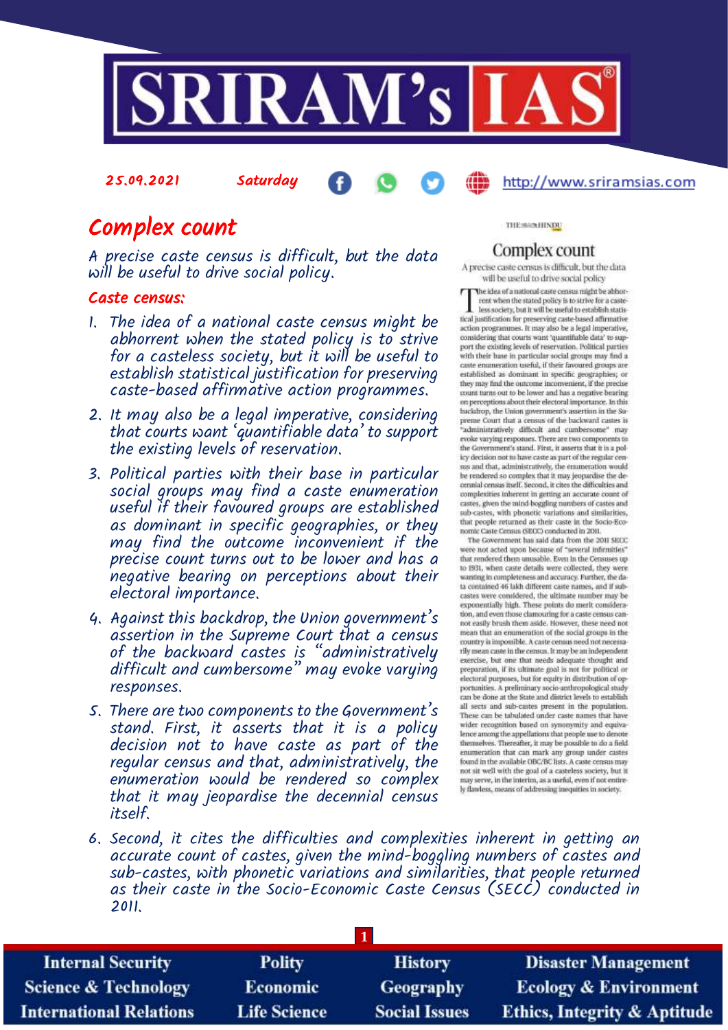

25.09.2021 Saturday

#### http://www.sriramsias.com

# Complex count

A precise caste census is difficult, but the data will be useful to drive social policy.

#### Caste census:

- 1. The idea of a national caste census might be abhorrent when the stated policy is to strive for a casteless society, but it will be useful to establish statistical justification for preserving caste-based affirmative action programmes.
- 2. It may also be a legal imperative, considering that courts want 'quantifiable data' to support the existing levels of reservation.
- 3. Political parties with their base in particular social groups may find a caste enumeration useful if their favoured groups are established as dominant in specific geographies, or they may find the outcome inconvenient if the precise count turns out to be lower and has a negative bearing on perceptions about their electoral importance.
- 4. Against this backdrop, the Union government's assertion in the Supreme Court that a census of the backward castes is "administratively difficult and cumbersome" may evoke varying responses.
- 5. There are two components to the Government's stand. First, it asserts that it is a policy decision not to have caste as part of the regular census and that, administratively, the enumeration would be rendered so complex that it may jeopardise the decennial census itself.

THE MAININDU

#### Complex count

A precise caste census is difficult, but the data will be useful to drive social policy

The idea of a national caste census might be abborrent when the stated policy is to strive for a casteless society, but it will be useful to establish statistical justification for preserving caste-based affirmative action programmes. It may also be a legal imperative, considering that courts want 'quantifiable data' to support the existing levels of reservation. Political parties with their base in particular social groups may find a caste enumeration useful, if their favoured groups are established as dominant in specific geographies; or they may find the outcome inconvenient, if the precise count turns out to be lower and has a negative bearing on perceptions about their electoral importance. In this backdrop, the Union government's assertion in the Supreme Court that a census of the backward castes is<br>"administratively difficult and cumbersome" may evoke varying responses. There are two components to the Government's stand. First, it asserts that it is a policy decision not to have caste as part of the regular census and that, administratively, the enumeration would be rendered so complex that it may jeopardise the decennial census itself. Second, it cites the difficulties and complexities inherent in getting an accurate count of castes, given the mind-boggling numbers of castes and sub-castes, with phonetic variations and similarities. that people returned as their caste in the Socio-Economic Caste Census (SEOC) conducted in 2011.

The Government has said data from the 2011 SECC. were not acted upon because of "several infirmities" that rendered them unusable. Even in the Censuses up to 1931, when caste details were collected, they were wanting in completeness and accuracy. Further, the data contained 46 lakh different caste names, and if subcastes were considered, the ultimate number may be<br>exponentially high. These points do merit consideration, and even those clamouring for a caste census cannot easily brush them aside. However, these need not mean that an enumeration of the social groups in the country is impossible. A caste census need not necessarily mean caste in the census. It may be an independent exercise, but one that needs adequate thought and<br>preparation, if its ultimate goal is not for political or electoral purposes, but for equity in distribution of opportunities. A preliminary socio-anthropological study<br>can be done at the State and district levels to establish all sects and sub-castes present in the population. These can be tabulated under caste names that have wider recognition based on synonymity and equivalence among the appellations that people use to denote themselves. Thereafter, it may be possible to do a field enumeration that can mark any group under castes found in the available OBC/BC lists. A caste census may not sit well with the goal of a casteless society, but it may serve, in the interim, as a useful, even if not entirely flawless, means of addressing inequities in society.

6. Second, it cites the difficulties and complexities inherent in getting an accurate count of castes, given the mind-boggling numbers of castes and sub-castes, with phonetic variations and similarities, that people returned as their caste in the Socio-Economic Caste Census (SECC) conducted in 2011.

| <b>Internal Security</b>        | <b>Polity</b>       | <b>History</b>       | <b>Disaster Management</b>              |
|---------------------------------|---------------------|----------------------|-----------------------------------------|
| <b>Science &amp; Technology</b> | <b>Economic</b>     | Geography            | <b>Ecology &amp; Environment</b>        |
| <b>International Relations</b>  | <b>Life Science</b> | <b>Social Issues</b> | <b>Ethics, Integrity &amp; Aptitude</b> |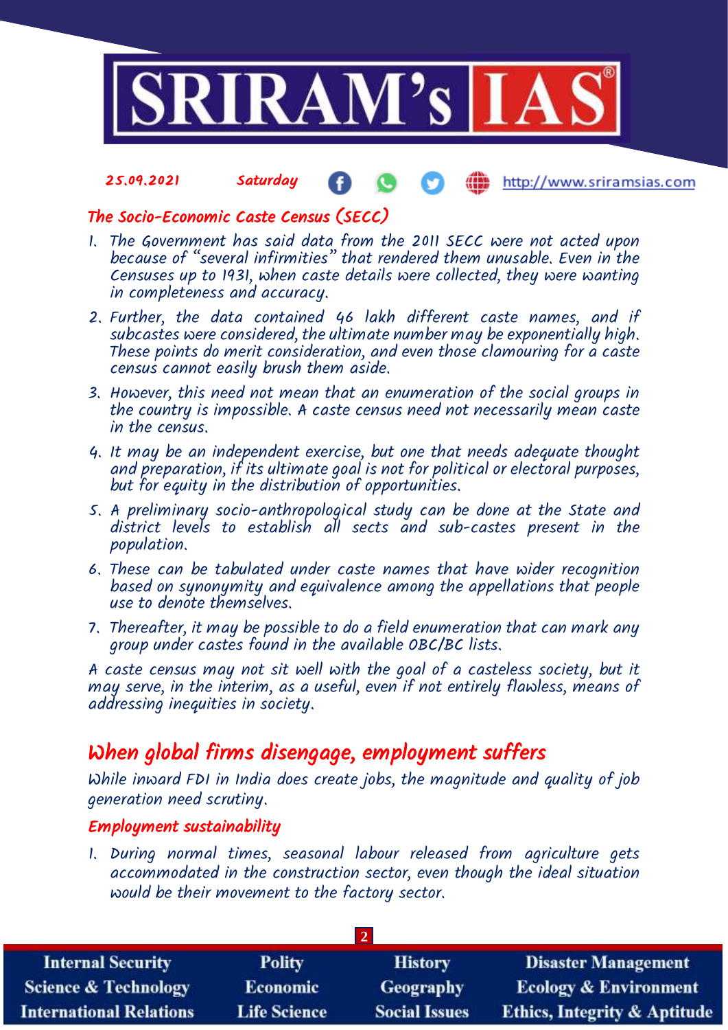

#### 25.09.2021 Saturday Æ http://www.sriramsias.com

## The Socio-Economic Caste Census (SECC)

- 1. The Government has said data from the 2011 SECC were not acted upon because of "several infirmities" that rendered them unusable. Even in the Censuses up to 1931, when caste details were collected, they were wanting in completeness and accuracy.
- 2. Further, the data contained 46 lakh different caste names, and if subcastes were considered, the ultimate number may be exponentially high. These points do merit consideration, and even those clamouring for a caste census cannot easily brush them aside.
- 3. However, this need not mean that an enumeration of the social groups in the country is impossible. A caste census need not necessarily mean caste in the census.
- 4. It may be an independent exercise, but one that needs adequate thought and preparation, if its ultimate goal is not for political or electoral purposes, but for equity in the distribution of opportunities.
- 5. A preliminary socio-anthropological study can be done at the State and district levels to establish all sects and sub-castes present in the population.
- 6. These can be tabulated under caste names that have wider recognition based on synonymity and equivalence among the appellations that people use to denote themselves.
- 7. Thereafter, it may be possible to do a field enumeration that can mark any group under castes found in the available OBC/BC lists.

A caste census may not sit well with the goal of a casteless society, but it may serve, in the interim, as a useful, even if not entirely flawless, means of addressing inequities in society.

## When global firms disengage, employment suffers

While inward FDI in India does create jobs, the magnitude and quality of job generation need scrutiny.

## Employment sustainability

1. During normal times, seasonal labour released from agriculture gets accommodated in the construction sector, even though the ideal situation would be their movement to the factory sector.

| <b>Internal Security</b>        | <b>Polity</b>       | <b>History</b>       | <b>Disaster Management</b>              |
|---------------------------------|---------------------|----------------------|-----------------------------------------|
| <b>Science &amp; Technology</b> | <b>Economic</b>     | Geography            | <b>Ecology &amp; Environment</b>        |
| <b>International Relations</b>  | <b>Life Science</b> | <b>Social Issues</b> | <b>Ethics, Integrity &amp; Aptitude</b> |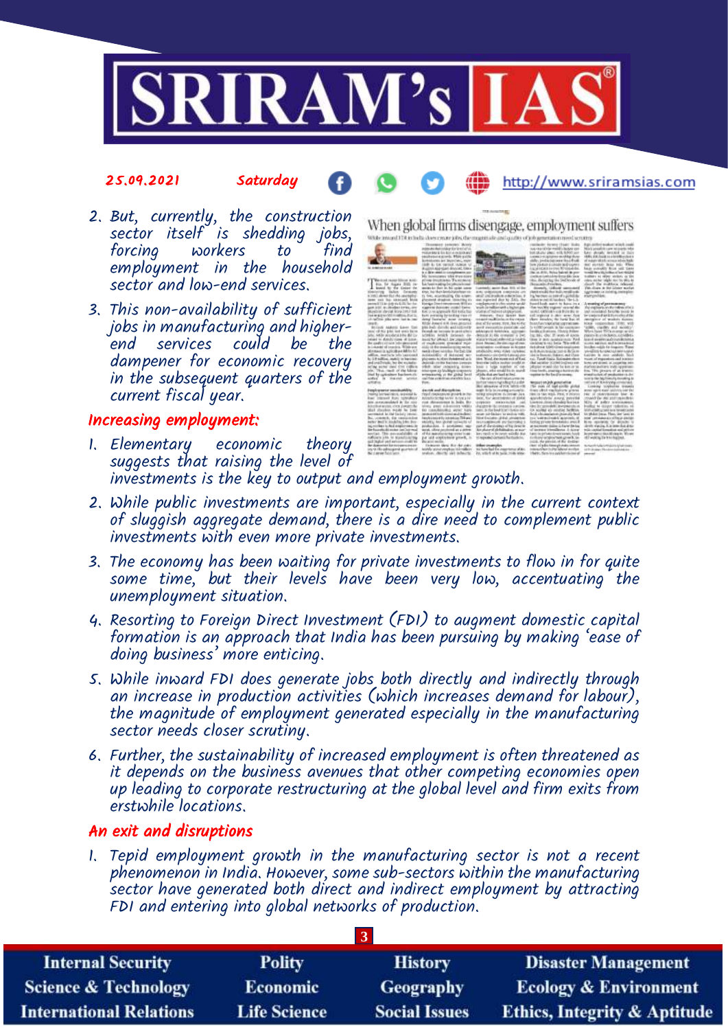

#### 25.09.2021 Saturday

http://www.sriramsias.com

- 2. But, currently, the construction sector itself is shedding jobs,<br>forcing workers to find workers to employment in the household sector and low-end services.
- 3. This non-availability of sufficient jobs in manufacturing and higherend services could be dampener for economic recovery in the subsequent quarters of the current fiscal year.

#### Increasing employment:

1. Elementary economic theory suggests that raising the level of investments is the key to output and employment growth.



When global firms disengage, employment suffers

- 2. While public investments are important, especially in the current context of sluggish aggregate demand, there is a dire need to complement public investments with even more private investments.
- 3. The economy has been waiting for private investments to flow in for quite some time, but their levels have been very low, accentuating the unemployment situation.
- 4. Resorting to Foreign Direct Investment (FDI) to augment domestic capital formation is an approach that India has been pursuing by making 'ease of doing business' more enticing.
- 5. While inward FDI does generate jobs both directly and indirectly through an increase in production activities (which increases demand for labour), the magnitude of employment generated especially in the manufacturing sector needs closer scrutiny.
- 6. Further, the sustainability of increased employment is often threatened as it depends on the business avenues that other competing economies open up leading to corporate restructuring at the global level and firm exits from erstwhile locations.

#### An exit and disruptions

1. Tepid employment growth in the manufacturing sector is not a recent phenomenon in India. However, some sub-sectors within the manufacturing sector have generated both direct and indirect employment by attracting FDI and entering into global networks of production.

| <b>Internal Security</b>        | <b>Polity</b>       | <b>History</b>       | <b>Disaster Management</b>              |
|---------------------------------|---------------------|----------------------|-----------------------------------------|
| <b>Science &amp; Technology</b> | Economic            | <b>Geography</b>     | <b>Ecology &amp; Environment</b>        |
| <b>International Relations</b>  | <b>Life Science</b> | <b>Social Issues</b> | <b>Ethics, Integrity &amp; Aptitude</b> |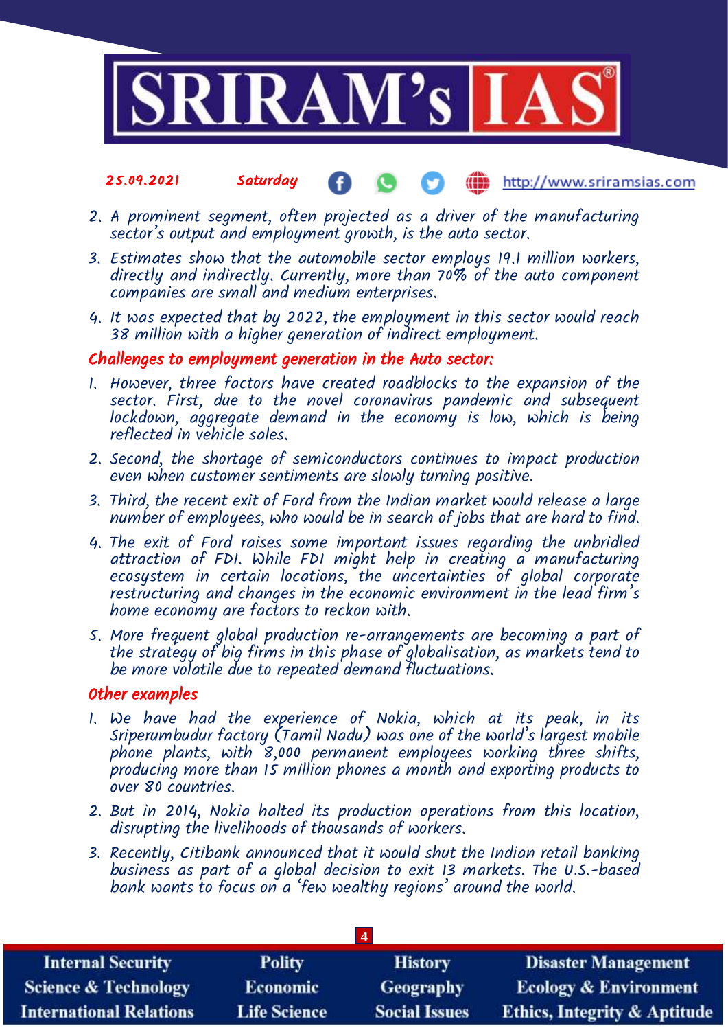

- 25.09.2021 Saturday **MD** http://www.sriramsias.com
- 2. A prominent segment, often projected as a driver of the manufacturing sector's output and employment growth, is the auto sector.
- 3. Estimates show that the automobile sector employs 19.1 million workers, directly and indirectly. Currently, more than 70% of the auto component companies are small and medium enterprises.
- 4. It was expected that by 2022, the employment in this sector would reach 38 million with a higher generation of indirect employment.

#### Challenges to employment generation in the Auto sector:

- 1. However, three factors have created roadblocks to the expansion of the sector. First, due to the novel coronavirus pandemic and subsequent lockdown, aggregate demand in the economy is low, which is being reflected in vehicle sales.
- 2. Second, the shortage of semiconductors continues to impact production even when customer sentiments are slowly turning positive.
- 3. Third, the recent exit of Ford from the Indian market would release a large number of employees, who would be in search of jobs that are hard to find.
- 4. The exit of Ford raises some important issues regarding the unbridled attraction of FDI. While FDI might help in creating a manufacturing ecosystem in certain locations, the uncertainties of global corporate restructuring and changes in the economic environment in the lead firm's home economy are factors to reckon with.
- 5. More frequent global production re-arrangements are becoming a part of the strategy of big firms in this phase of globalisation, as markets tend to be more volatile due to repeated demand fluctuations.

#### Other examples

- 1. We have had the experience of Nokia, which at its peak, in its Sriperumbudur factory (Tamil Nadu) was one of the world's largest mobile phone plants, with 8,000 permanent employees working three shifts, producing more than 15 million phones a month and exporting products to over 80 countries.
- 2. But in 2014, Nokia halted its production operations from this location, disrupting the livelihoods of thousands of workers.
- 3. Recently, Citibank announced that it would shut the Indian retail banking business as part of a global decision to exit 13 markets. The U.S.-based bank wants to focus on a 'few wealthy regions' around the world.

| <b>Internal Security</b>        | <b>Polity</b>       | <b>History</b>       | <b>Disaster Management</b>              |
|---------------------------------|---------------------|----------------------|-----------------------------------------|
| <b>Science &amp; Technology</b> | Economic            | <b>Geography</b>     | <b>Ecology &amp; Environment</b>        |
| <b>International Relations</b>  | <b>Life Science</b> | <b>Social Issues</b> | <b>Ethics, Integrity &amp; Aptitude</b> |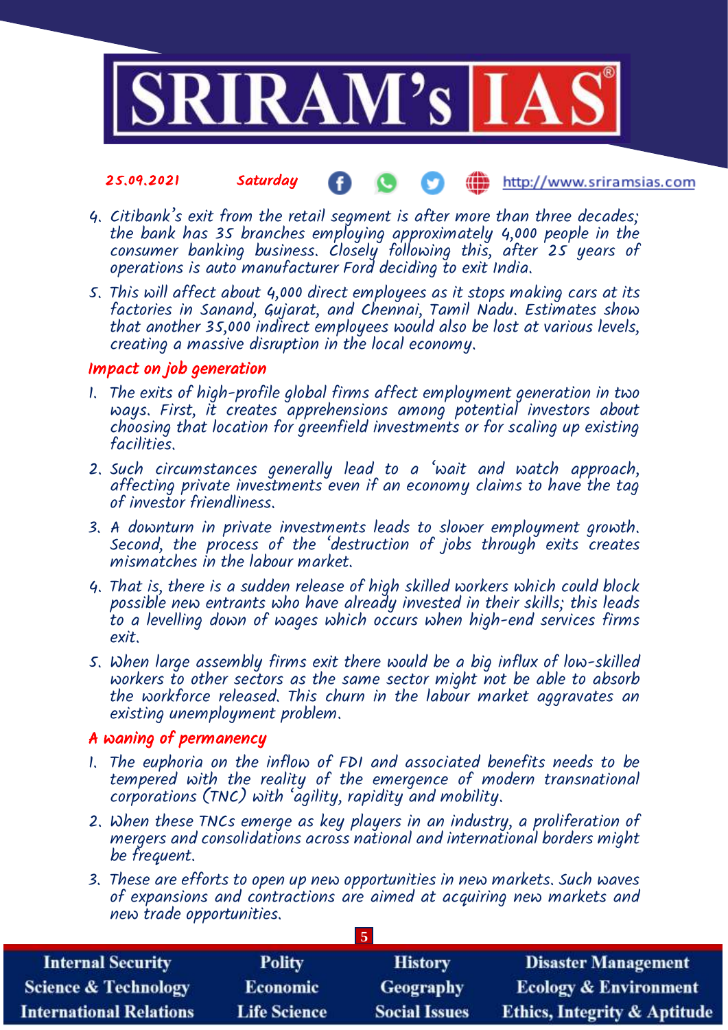

#### 25.09.2021 Saturday **(iii)** http://www.sriramsias.com

- 4. Citibank's exit from the retail segment is after more than three decades; the bank has 35 branches employing approximately 4,000 people in the consumer banking business. Closely following this, after 25 years of operations is auto manufacturer Ford deciding to exit India.
- 5. This will affect about 4,000 direct employees as it stops making cars at its factories in Sanand, Gujarat, and Chennai, Tamil Nadu. Estimates show that another 35,000 indirect employees would also be lost at various levels, creating a massive disruption in the local economy.

#### Impact on job generation

- 1. The exits of high-profile global firms affect employment generation in two ways. First, it creates apprehensions among potential investors about choosing that location for greenfield investments or for scaling up existing facilities.
- 2. Such circumstances generally lead to a 'wait and watch approach, affecting private investments even if an economy claims to have the tag of investor friendliness.
- 3. A downturn in private investments leads to slower employment growth. Second, the process of the 'destruction of jobs through exits creates mismatches in the labour market.
- 4. That is, there is a sudden release of high skilled workers which could block possible new entrants who have already invested in their skills; this leads to a levelling down of wages which occurs when high-end services firms exit.
- 5. When large assembly firms exit there would be a big influx of low-skilled workers to other sectors as the same sector might not be able to absorb the workforce released. This churn in the labour market aggravates an existing unemployment problem.

### A waning of permanency

- 1. The euphoria on the inflow of FDI and associated benefits needs to be tempered with the reality of the emergence of modern transnational corporations (TNC) with 'agility, rapidity and mobility.
- 2. When these TNCs emerge as key players in an industry, a proliferation of mergers and consolidations across national and international borders might be frequent.
- 3. These are efforts to open up new opportunities in new markets. Such waves of expansions and contractions are aimed at acquiring new markets and new trade opportunities.

**5**

| <b>Internal Security</b>        | <b>Polity</b>       | <b>History</b>       | <b>Disaster Management</b>              |
|---------------------------------|---------------------|----------------------|-----------------------------------------|
| <b>Science &amp; Technology</b> | Economic            | <b>Geography</b>     | <b>Ecology &amp; Environment</b>        |
| <b>International Relations</b>  | <b>Life Science</b> | <b>Social Issues</b> | <b>Ethics, Integrity &amp; Aptitude</b> |